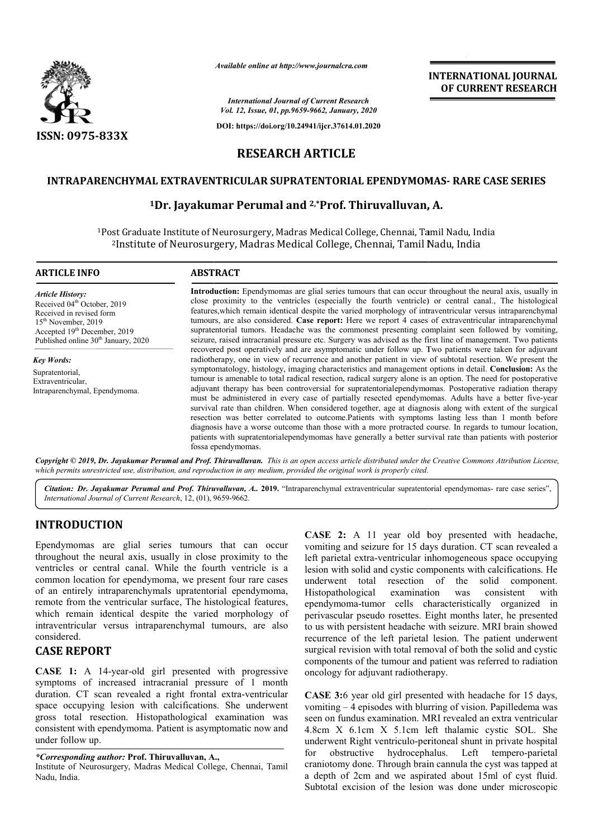

*Available online at http://www.journalcra.com*

# **INTERNATIONAL JOURNAL OF CURRENT RESEARCH**

# **RESEARCH ARTICLE**

### **INTRAPARENCHYMAL EXTRAVENTRICULAR SUPRATENTORIAL EPENDYMOMAS EPENDYMOMAS- RARE CASE SERIES**

## <sup>1</sup>Dr. Jayakumar Perumal and <sup>2,\*</sup>Prof. Thiruvalluvan, A.

| <b>International Journal of Current Research</b><br>Vol. 12, Issue, 01, pp.9659-9662, January, 2020<br>DOI: https://doi.org/10.24941/ijcr.37614.01.2020                                                                                                                                                                                                                                                                                                                                                                                                                                                                                                                                                                                                                                                                                                                                                                                                                                              |  |
|------------------------------------------------------------------------------------------------------------------------------------------------------------------------------------------------------------------------------------------------------------------------------------------------------------------------------------------------------------------------------------------------------------------------------------------------------------------------------------------------------------------------------------------------------------------------------------------------------------------------------------------------------------------------------------------------------------------------------------------------------------------------------------------------------------------------------------------------------------------------------------------------------------------------------------------------------------------------------------------------------|--|
|                                                                                                                                                                                                                                                                                                                                                                                                                                                                                                                                                                                                                                                                                                                                                                                                                                                                                                                                                                                                      |  |
|                                                                                                                                                                                                                                                                                                                                                                                                                                                                                                                                                                                                                                                                                                                                                                                                                                                                                                                                                                                                      |  |
|                                                                                                                                                                                                                                                                                                                                                                                                                                                                                                                                                                                                                                                                                                                                                                                                                                                                                                                                                                                                      |  |
| <b>RESEARCH ARTICLE</b>                                                                                                                                                                                                                                                                                                                                                                                                                                                                                                                                                                                                                                                                                                                                                                                                                                                                                                                                                                              |  |
| INTRAPARENCHYMAL EXTRAVENTRICULAR SUPRATENTORIAL EPENDYMOMAS- RARE CASE SERIES                                                                                                                                                                                                                                                                                                                                                                                                                                                                                                                                                                                                                                                                                                                                                                                                                                                                                                                       |  |
| <sup>1</sup> Dr. Jayakumar Perumal and <sup>2,*</sup> Prof. Thiruvalluvan, A.                                                                                                                                                                                                                                                                                                                                                                                                                                                                                                                                                                                                                                                                                                                                                                                                                                                                                                                        |  |
| <sup>1</sup> Post Graduate Institute of Neurosurgery, Madras Medical College, Chennai, Tamil Nadu, India<br><sup>2</sup> Institute of Neurosurgery, Madras Medical College, Chennai, Tamil Nadu, India                                                                                                                                                                                                                                                                                                                                                                                                                                                                                                                                                                                                                                                                                                                                                                                               |  |
|                                                                                                                                                                                                                                                                                                                                                                                                                                                                                                                                                                                                                                                                                                                                                                                                                                                                                                                                                                                                      |  |
| Introduction: Ependymomas are glial series tumours that can occur throughout the neural axis, usually in<br>close proximity to the ventricles (especially the fourth ventricle) or central canal., The histological<br>features, which remain identical despite the varied morphology of intraventricular versus intraparenchymal<br>tumours, are also considered. Case report: Here we report 4 cases of extraventricular intraparenchymal<br>supratentorial tumors. Headache was the commonest presenting complaint seen followed by vomiting,<br>seizure, raised intracranial pressure etc. Surgery was advised as the first line of management. Two patients<br>recovered post operatively and are asymptomatic under follow up. Two patients were taken for adjuvant                                                                                                                                                                                                                            |  |
| radiotherapy, one in view of recurrence and another patient in view of subtotal resection. We present the<br>symptomatology, histology, imaging characteristics and management options in detail. Conclusion: As the<br>tumour is amenable to total radical resection, radical surgery alone is an option. The need for postoperative<br>adjuvant therapy has been controversial for supratentorialependymomas. Postoperative radiation therapy<br>must be administered in every case of partially resected ependymomas. Adults have a better five-year<br>survival rate than children. When considered together, age at diagnosis along with extent of the surgical<br>resection was better correlated to outcome. Patients with symptoms lasting less than 1 month before<br>diagnosis have a worse outcome than those with a more protracted course. In regards to tumour location,<br>patients with supratentorialependymomas have generally a better survival rate than patients with posterior |  |
| Copyright © 2019, Dr. Jayakumar Perumal and Prof. Thiruvalluvan. This is an open access article distributed under the Creative Commons Attribution License,<br>which permits unrestricted use, distribution, and reproduction in any medium, provided the original work is properly cited.                                                                                                                                                                                                                                                                                                                                                                                                                                                                                                                                                                                                                                                                                                           |  |
| Citation: Dr. Jayakumar Perumal and Prof. Thiruvalluvan, A., 2019. "Intraparenchymal extraventricular supratentorial ependymomas- rare case series",                                                                                                                                                                                                                                                                                                                                                                                                                                                                                                                                                                                                                                                                                                                                                                                                                                                 |  |
|                                                                                                                                                                                                                                                                                                                                                                                                                                                                                                                                                                                                                                                                                                                                                                                                                                                                                                                                                                                                      |  |
| <b>CASE 2:</b> A 11 year old boy presented with headache,<br>vomiting and seizure for 15 days duration. CT scan revealed a<br>left parietal extra-ventricular inhomogeneous space occupying<br>lesion with solid and cystic components with calcifications. He<br>underwent total resection of the solid component.<br>consistent<br>Histopathological<br>examination<br>with<br>was<br>ependymoma-tumor cells characteristically organized in<br>perivascular pseudo rosettes. Eight months later, he presented<br>to us with persistent headache with seizure. MRI brain showed<br>recurrence of the left parietal lesion. The patient underwent                                                                                                                                                                                                                                                                                                                                                   |  |
| surgical revision with total removal of both the solid and cystic<br>components of the tumour and patient was referred to radiation                                                                                                                                                                                                                                                                                                                                                                                                                                                                                                                                                                                                                                                                                                                                                                                                                                                                  |  |
| oncology for adjuvant radiotherapy.<br>CASE 3:6 year old girl presented with headache for 15 days,<br>vomiting - 4 episodes with blurring of vision. Papilledema was<br>seen on fundus examination. MRI revealed an extra ventricular<br>4.8cm X 6.1cm X 5.1cm left thalamic cystic SOL. She<br>underwent Right ventriculo-peritoneal shunt in private hospital<br>hydrocephalus.<br>Left tempero-parietal<br>for<br>obstructive<br>craniotomy done. Through brain cannula the cyst was tapped at<br>a depth of 2cm and we aspirated about 15ml of cyst fluid.                                                                                                                                                                                                                                                                                                                                                                                                                                       |  |
|                                                                                                                                                                                                                                                                                                                                                                                                                                                                                                                                                                                                                                                                                                                                                                                                                                                                                                                                                                                                      |  |

### **INTRODUCTION**

## **CASE REPORT**

*<sup>\*</sup>Corresponding author:* **Prof. Thiruvalluvan, A. A.,**

Institute of Neurosurgery, Madras Medical College, Chennai, Tamil Nadu, India.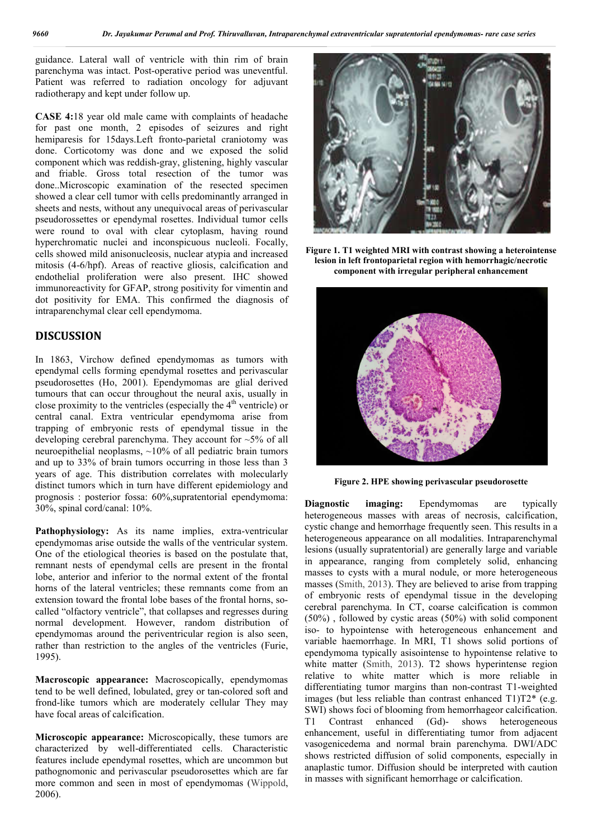guidance. Lateral wall of ventricle with thin rim of brain parenchyma was intact. Post-operative period was uneventful. Patient was referred to radiation oncology for adjuvant radiotherapy and kept under follow up.

**CASE 4:**18 year old male came with complaints of headache for past one month, 2 episodes of seizures and right hemiparesis for 15days.Left fronto-parietal craniotomy was done. Corticotomy was done and we exposed the solid component which was reddish-gray, glistening, highly vascular and friable. Gross total resection of the tumor was done..Microscopic examination of the resected specimen showed a clear cell tumor with cells predominantly arranged in sheets and nests, without any unequivocal areas of perivascular pseudorossettes or ependymal rosettes. Individual tumor cells were round to oval with clear cytoplasm, having round hyperchromatic nuclei and inconspicuous nucleoli. Focally, cells showed mild anisonucleosis, nuclear atypia and increased mitosis (4-6/hpf). Areas of reactive gliosis, calcification and endothelial proliferation were also present. IHC showed immunoreactivity for GFAP, strong positivity for vimentin and dot positivity for EMA. This confirmed the diagnosis of intraparenchymal clear cell ependymoma.

### **DISCUSSION**

In 1863, Virchow defined ependymomas as tumors with ependymal cells forming ependymal rosettes and perivascular pseudorosettes (Ho, 2001). Ependymomas are glial derived tumours that can occur throughout the neural axis, usually in close proximity to the ventricles (especially the  $4<sup>th</sup>$  ventricle) or central canal. Extra ventricular ependymoma arise from trapping of embryonic rests of ependymal tissue in the developing cerebral parenchyma. They account for ~5% of all neuroepithelial neoplasms, ~10% of all pediatric brain tumors and up to 33% of brain tumors occurring in those less than 3 years of age. This distribution correlates with molecularly distinct tumors which in turn have different epidemiology and prognosis : posterior fossa: 60%,supratentorial ependymoma: 30%, spinal cord/canal: 10%.

Pathophysiology: As its name implies, extra-ventricular ependymomas arise outside the walls of the ventricular system. One of the etiological theories is based on the postulate that, remnant nests of ependymal cells are present in the frontal lobe, anterior and inferior to the normal extent of the frontal horns of the lateral ventricles; these remnants come from an extension toward the frontal lobe bases of the frontal horns, socalled "olfactory ventricle", that collapses and regresses during normal development. However, random distribution of ependymomas around the periventricular region is also seen, rather than restriction to the angles of the ventricles (Furie, 1995).

**Macroscopic appearance:** Macroscopically, ependymomas tend to be well defined, lobulated, grey or tan-colored soft and frond-like tumors which are moderately cellular They may have focal areas of calcification.

**Microscopic appearance:** Microscopically, these tumors are characterized by well-differentiated cells. Characteristic features include ependymal rosettes, which are uncommon but pathognomonic and perivascular pseudorosettes which are far more common and seen in most of ependymomas (Wippold, 2006).



**Figure 1. T1 weighted MRI with contrast showing a heterointense lesion in left frontoparietal region with hemorrhagic/necrotic component with irregular peripheral enhancement**



**Figure 2. HPE showing perivascular pseudorosette**

**Diagnostic imaging:** Ependymomas are typically heterogeneous masses with areas of necrosis, calcification, cystic change and hemorrhage frequently seen. This results in a heterogeneous appearance on all modalities. Intraparenchymal lesions (usually supratentorial) are generally large and variable in appearance, ranging from completely solid, enhancing masses to cysts with a mural nodule, or more heterogeneous masses (Smith, 2013). They are believed to arise from trapping of embryonic rests of ependymal tissue in the developing cerebral parenchyma. In CT, coarse calcification is common (50%) , followed by cystic areas (50%) with solid component iso- to hypointense with heterogeneous enhancement and variable haemorrhage. In MRI, T1 shows solid portions of ependymoma typically asisointense to hypointense relative to white matter (Smith, 2013). T2 shows hyperintense region relative to white matter which is more reliable in differentiating tumor margins than non-contrast T1-weighted images (but less reliable than contrast enhanced  $T1)T2^*$  (e.g. SWI) shows foci of blooming from hemorrhageor calcification. T1 Contrast enhanced (Gd)- shows heterogeneous enhancement, useful in differentiating tumor from adjacent vasogenicedema and normal brain parenchyma. DWI/ADC shows restricted diffusion of solid components, especially in anaplastic tumor. Diffusion should be interpreted with caution in masses with significant hemorrhage or calcification.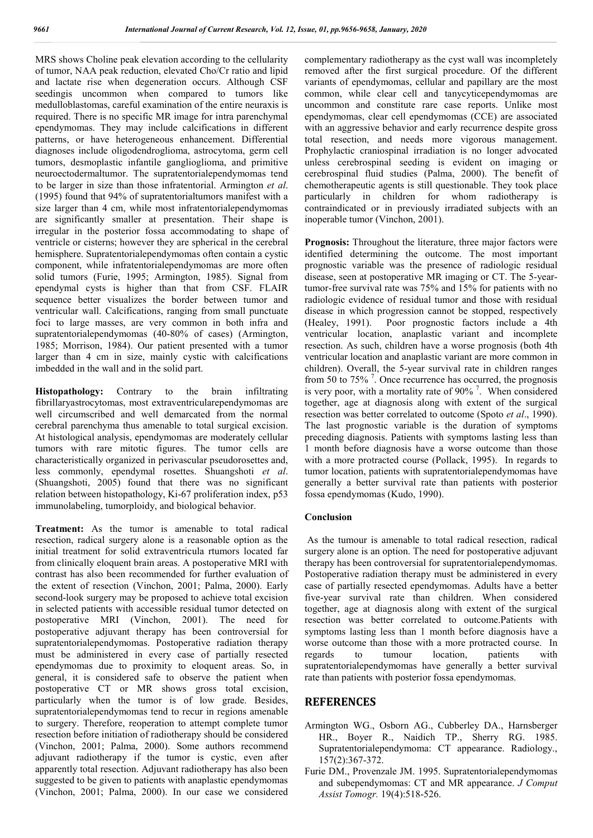MRS shows Choline peak elevation according to the cellularity of tumor, NAA peak reduction, elevated Cho/Cr ratio and lipid and lactate rise when degeneration occurs. Although CSF seedingis uncommon when compared to tumors like medulloblastomas, careful examination of the entire neuraxis is required. There is no specific MR image for intra parenchymal ependymomas. They may include calcifications in different patterns, or have heterogeneous enhancement. Differential diagnoses include oligodendroglioma, astrocytoma, germ cell tumors, desmoplastic infantile ganglioglioma, and primitive neuroectodermaltumor. The supratentorialependymomas tend to be larger in size than those infratentorial. Armington *et al*. (1995) found that 94% of supratentorialtumors manifest with a size larger than 4 cm, while most infratentorialependymomas are significantly smaller at presentation. Their shape is irregular in the posterior fossa accommodating to shape of ventricle or cisterns; however they are spherical in the cerebral hemisphere. Supratentorialependymomas often contain a cystic component, while infratentorialependymomas are more often solid tumors (Furie, 1995; Armington, 1985). Signal from ependymal cysts is higher than that from CSF. FLAIR sequence better visualizes the border between tumor and ventricular wall. Calcifications, ranging from small punctuate foci to large masses, are very common in both infra and supratentorialependymomas (40-80% of cases) (Armington, 1985; Morrison, 1984). Our patient presented with a tumor larger than 4 cm in size, mainly cystic with calcifications imbedded in the wall and in the solid part.

**Histopathology:** Contrary to the brain infiltrating fibrillaryastrocytomas, most extraventricularependymomas are well circumscribed and well demarcated from the normal cerebral parenchyma thus amenable to total surgical excision. At histological analysis, ependymomas are moderately cellular tumors with rare mitotic figures. The tumor cells are characteristically organized in perivascular pseudorosettes and, less commonly, ependymal rosettes. Shuangshoti *et al*. (Shuangshoti, 2005) found that there was no significant relation between histopathology, Ki-67 proliferation index, p53 immunolabeling, tumorploidy, and biological behavior.

**Treatment:** As the tumor is amenable to total radical resection, radical surgery alone is a reasonable option as the initial treatment for solid extraventricula rtumors located far from clinically eloquent brain areas. A postoperative MRI with contrast has also been recommended for further evaluation of the extent of resection (Vinchon, 2001; Palma, 2000). Early second-look surgery may be proposed to achieve total excision in selected patients with accessible residual tumor detected on postoperative MRI (Vinchon, 2001). The need for postoperative adjuvant therapy has been controversial for supratentorialependymomas. Postoperative radiation therapy must be administered in every case of partially resected ependymomas due to proximity to eloquent areas. So, in general, it is considered safe to observe the patient when postoperative CT or MR shows gross total excision, particularly when the tumor is of low grade. Besides, supratentorialependymomas tend to recur in regions amenable to surgery. Therefore, reoperation to attempt complete tumor resection before initiation of radiotherapy should be considered (Vinchon, 2001; Palma, 2000). Some authors recommend adjuvant radiotherapy if the tumor is cystic, even after apparently total resection. Adjuvant radiotherapy has also been suggested to be given to patients with anaplastic ependymomas (Vinchon, 2001; Palma, 2000). In our case we considered complementary radiotherapy as the cyst wall was incompletely removed after the first surgical procedure. Of the different variants of ependymomas, cellular and papillary are the most common, while clear cell and tanycyticependymomas are uncommon and constitute rare case reports. Unlike most ependymomas, clear cell ependymomas (CCE) are associated with an aggressive behavior and early recurrence despite gross total resection, and needs more vigorous management. Prophylactic craniospinal irradiation is no longer advocated unless cerebrospinal seeding is evident on imaging or cerebrospinal fluid studies (Palma, 2000). The benefit of chemotherapeutic agents is still questionable. They took place particularly in children for whom radiotherapy is contraindicated or in previously irradiated subjects with an inoperable tumor (Vinchon, 2001).

**Prognosis:** Throughout the literature, three major factors were identified determining the outcome. The most important prognostic variable was the presence of radiologic residual disease, seen at postoperative MR imaging or CT. The 5-yeartumor-free survival rate was 75% and 15% for patients with no radiologic evidence of residual tumor and those with residual disease in which progression cannot be stopped, respectively (Healey, 1991). Poor prognostic factors include a 4th ventricular location, anaplastic variant and incomplete resection. As such, children have a worse prognosis (both 4th ventricular location and anaplastic variant are more common in children). Overall, the 5-year survival rate in children ranges from 50 to 75%<sup>7</sup>. Once recurrence has occurred, the prognosis is very poor, with a mortality rate of 90% $^7$ . When considered together, age at diagnosis along with extent of the surgical resection was better correlated to outcome (Spoto *et al*., 1990). The last prognostic variable is the duration of symptoms preceding diagnosis. Patients with symptoms lasting less than 1 month before diagnosis have a worse outcome than those with a more protracted course (Pollack, 1995). In regards to tumor location, patients with supratentorialependymomas have generally a better survival rate than patients with posterior fossa ependymomas (Kudo, 1990).

#### **Conclusion**

As the tumour is amenable to total radical resection, radical surgery alone is an option. The need for postoperative adjuvant therapy has been controversial for supratentorialependymomas. Postoperative radiation therapy must be administered in every case of partially resected ependymomas. Adults have a better five-year survival rate than children. When considered together, age at diagnosis along with extent of the surgical resection was better correlated to outcome.Patients with symptoms lasting less than 1 month before diagnosis have a worse outcome than those with a more protracted course. In regards to tumour location, patients with supratentorialependymomas have generally a better survival rate than patients with posterior fossa ependymomas.

### **REFERENCES**

- Armington WG., Osborn AG., Cubberley DA., Harnsberger HR., Boyer R., Naidich TP., Sherry RG. 1985. Supratentorialependymoma: CT appearance. Radiology., 157(2):367-372.
- Furie DM., Provenzale JM. 1995. Supratentorialependymomas and subependymomas: CT and MR appearance. *J Comput Assist Tomogr.* 19(4):518-526.